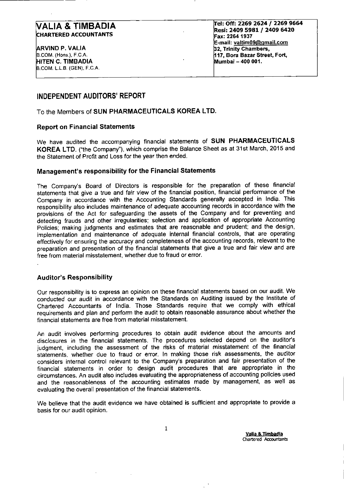# **VALIA & TIMBADIA CHARTERED ACCOUNTANTS**

**ARVIND P. VALIA** B.COM. (Hons.), F.C.A. **HITEN C. TIMBADIA** B.COM. L.L.B. (GEN). F.C.A.

Tel: Off: 2269 2624 / 2269 9664 Resi: 2409 5981 / 2409 6420 Fax: 2264 1937 E-mail: valtim09@gmail.com 32. Trinity Chambers, 117, Bora Bazar Street, Fort, Mumbai - 400 001.

# **INDEPENDENT AUDITORS' REPORT**

To the Members of SUN PHARMACEUTICALS KOREA LTD.

## **Report on Financial Statements**

We have audited the accompanying financial statements of SUN PHARMACEUTICALS KOREA LTD. ("the Company"), which comprise the Balance Sheet as at 31st March, 2015 and the Statement of Profit and Loss for the year then ended.

# Management's responsibility for the Financial Statements

The Company's Board of Directors is responsible for the preparation of these financial statements that give a true and fair view of the financial position, financial performance of the Company in accordance with the Accounting Standards generally accepted in India. This responsibility also includes maintenance of adequate accounting records in accordance with the provisions of the Act for safeguarding the assets of the Company and for preventing and detecting frauds and other irregularities; selection and application of appropriate Accounting Policies; making judgments and estimates that are reasonable and prudent; and the design, implementation and maintenance of adequate internal financial controls, that are operating effectively for ensuring the accuracy and completeness of the accounting records, relevant to the preparation and presentation of the financial statements that give a true and fair view and are free from material misstatement, whether due to fraud or error.

## **Auditor's Responsibility**

Our responsibility is to express an opinion on these financial statements based on our audit. We conducted our audit in accordance with the Standards on Auditing issued by the Institute of Chartered Accountants of India. Those Standards require that we comply with ethical requirements and plan and perform the audit to obtain reasonable assurance about whether the financial statements are free from material misstatement.

An audit involves performing procedures to obtain audit evidence about the amounts and disclosures in the financial statements. The procedures selected depend on the auditor's judgment, including the assessment of the risks of material misstatement of the financial statements, whether due to fraud or error. In making those risk assessments, the auditor considers internal control relevant to the Company's preparation and fair presentation of the financial statements in order to design audit procedures that are appropriate in the circumstances. An audit also includes evaluating the appropriateness of accounting policies used and the reasonableness of the accounting estimates made by management, as well as evaluating the overall presentation of the financial statements.

We believe that the audit evidence we have obtained is sufficient and appropriate to provide a basis for our audit opinion.

> Valia & Timbadia Chartered Accountants

 $\mathbf{1}$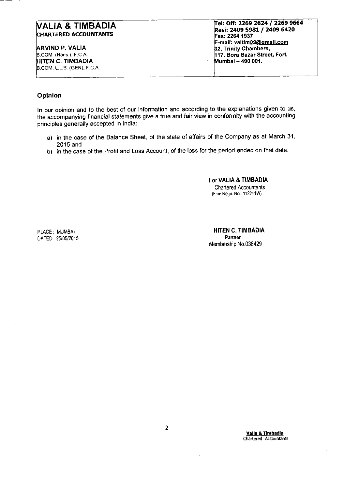# VALIA & TIMBADIA **CHARTERED ACCOUNTANTS**

**ARVIND P. VALIA** B.COM. (Hons.), F.C.A. **HITEN C. TIMBADIA** B.COM. L.L.B. (GEN), F.C.A.

Tel: Off: 2269 2624 / 2269 9664 Resi: 2409 5981 / 2409 6420 Fax: 2264 1937 E-mail: valtim09@gmail.com 32, Trinity Chambers, 117, Bora Bazar Street, Fort, Mumbai - 400 001.

## Opinion

In our opinion and to the best of our information and according to the explanations given to us, the accompanying financial statements give a true and fair view in conformity with the accounting principles generally accepted in India:

- a) in the case of the Balance Sheet, of the state of affairs of the Company as at March 31, 2015 and
- b) in the case of the Profit and Loss Account, of the loss for the period ended on that date.

For VALIA & TIMBADIA **Chartered Accountants** (Firm Regn. No: 112241W)

PLACE: MUMBAI DATED: 25/05/2015

**HITEN C. TIMBADIA** Partner Membership No.038429

> Valia & Timbadia Chartered Accountants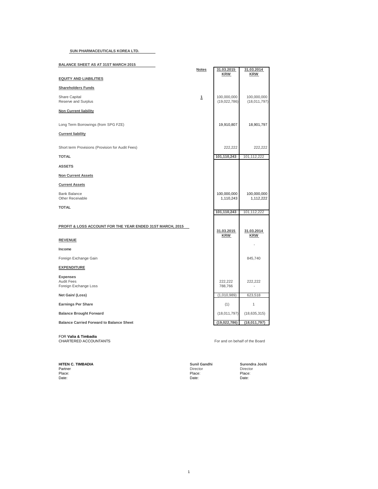**SUN PHARMACEUTICALS KOREA LTD.**

### **BALANCE SHEET AS AT 31ST MARCH 2015**

|                                                               | Notes          | 31.03.2015<br><b>KRW</b>    | 31.03.2014<br><b>KRW</b>    |
|---------------------------------------------------------------|----------------|-----------------------------|-----------------------------|
| <b>EQUITY AND LIABILITIES</b>                                 |                |                             |                             |
| <b>Shareholders Funds</b>                                     |                |                             |                             |
| <b>Share Capital</b><br>Reserve and Surplus                   | $\overline{1}$ | 100,000,000<br>(19,022,786) | 100,000,000<br>(18,011,797) |
| <b>Non Current liability</b>                                  |                |                             |                             |
| Long Term Borrowings (from SPG FZE)                           |                | 19,910,807                  | 18,901,797                  |
| <b>Current liability</b>                                      |                |                             |                             |
| Short term Provisions (Provision for Audit Fees)              |                | 222,222                     | 222,222                     |
| <b>TOTAL</b>                                                  |                | 101,110,243                 | 101,112,222                 |
| <b>ASSETS</b>                                                 |                |                             |                             |
| <b>Non Current Assets</b>                                     |                |                             |                             |
| <b>Current Assets</b>                                         |                |                             |                             |
| <b>Bank Balance</b><br><b>Other Receivable</b>                |                | 100,000,000<br>1,110,243    | 100,000,000<br>1,112,222    |
| <b>TOTAL</b>                                                  |                |                             |                             |
|                                                               |                | 101,110,243                 | 101,112,222                 |
| PROFIT & LOSS ACCOUNT FOR THE YEAR ENDED 31ST MARCH, 2015     |                | 31.03.2015<br><b>KRW</b>    | 31.03.2014<br>KRW           |
| <b>REVENUE</b>                                                |                |                             |                             |
| Income                                                        |                |                             |                             |
| Foreign Exchange Gain                                         |                |                             | 845,740                     |
| <u>EXPENDITURE</u>                                            |                |                             |                             |
| <b>Expenses</b><br><b>Audit Fees</b><br>Foreign Exchange Loss |                | 222,222<br>788,766          | 222,222                     |
| Net Gain/ (Loss)                                              |                | (1,010,989)                 | 623,518                     |
| <b>Earnings Per Share</b>                                     |                | (1)                         | 1                           |
| <b>Balance Brought Forward</b>                                |                | (18,011,797)                | (18,635,315)                |
| <b>Balance Carried Forward to Balance Sheet</b>               |                | (19,022,786)                | (18,011,797)                |

FOR **Valia & Timbadia** CHARTERED ACCOUNTANTS For and on behalf of the Board

**HITEN C. TIMBADIA**<br> **Partner C. TIMBADIA**<br>
Place: Place: Place: Place: Place: Place: Place: Place: Place: Place: Place: Place: Place: Place: Place: Place: Place: Place: Place: Place: Place: Place: Place: Place: Place: Pla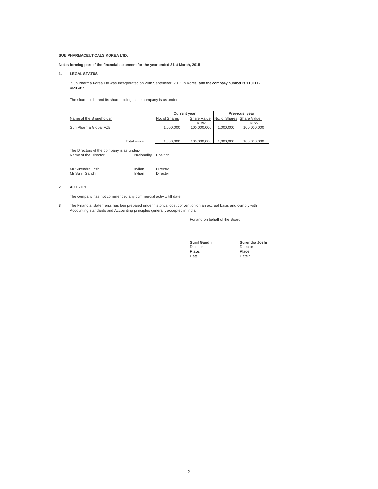#### **SUN PHARMACEUTICALS KOREA LTD.**

### **Notes forming part of the financial statement for the year ended 31st March, 2015**

### **1. LEGAL STATUS**

Sun Pharma Korea Ltd was Incorporated on 20th September, 2011 in Korea and the company number is 110111- 4690487

The shareholder and its shareholding in the company is as under:-

|                                                                        |                                 | <b>Current year</b> |             | Previous year             |             |
|------------------------------------------------------------------------|---------------------------------|---------------------|-------------|---------------------------|-------------|
| Name of the Shareholder                                                |                                 | No. of Shares       | Share Value | No. of Shares Share Value |             |
|                                                                        |                                 |                     | <b>KRW</b>  |                           | <b>KRW</b>  |
| Sun Pharma Global FZE                                                  |                                 | 1,000,000           | 100.000.000 | 1.000.000                 | 100,000,000 |
|                                                                        |                                 |                     |             |                           |             |
|                                                                        |                                 |                     |             |                           |             |
|                                                                        | $Total \rightarrow$             | 1.000.000           | 100.000.000 | 1.000.000                 | 100,000,000 |
|                                                                        |                                 |                     |             |                           |             |
| The Directors of the company is as under:-                             |                                 |                     |             |                           |             |
| $\mathbf{A}$ is a set of the set $\mathbf{B}$ is a set of $\mathbf{A}$ | Allegary of the Common State of |                     |             |                           |             |

Name of the Director Nationality Position

| Mr Surendra Joshi | Indian | Director |
|-------------------|--------|----------|
| Mr Sunil Gandhi   | Indian | Director |

### **2. ACTIVITY**

The company has not commenced any commercial activity till date.

**3**  The Financial statements has ben prepared under historical cost convention on an accrual basis and comply with Accounting standards and Accounting principles generally accepted in India

For and on behalf of the Board

**Sunil Gandhi Surendra Joshi**<br>
Director **Director** Director<br>Place: Place:<br>
Place: Place: Place: Place: Place: Place: Place: Place: Place: Place: Place: Place: Place: Place: Place: Place: Place: Place: Place: Place: Place: Place: Place: Place: Place: Place: Place: Place: Place: Place: Plac

Date: